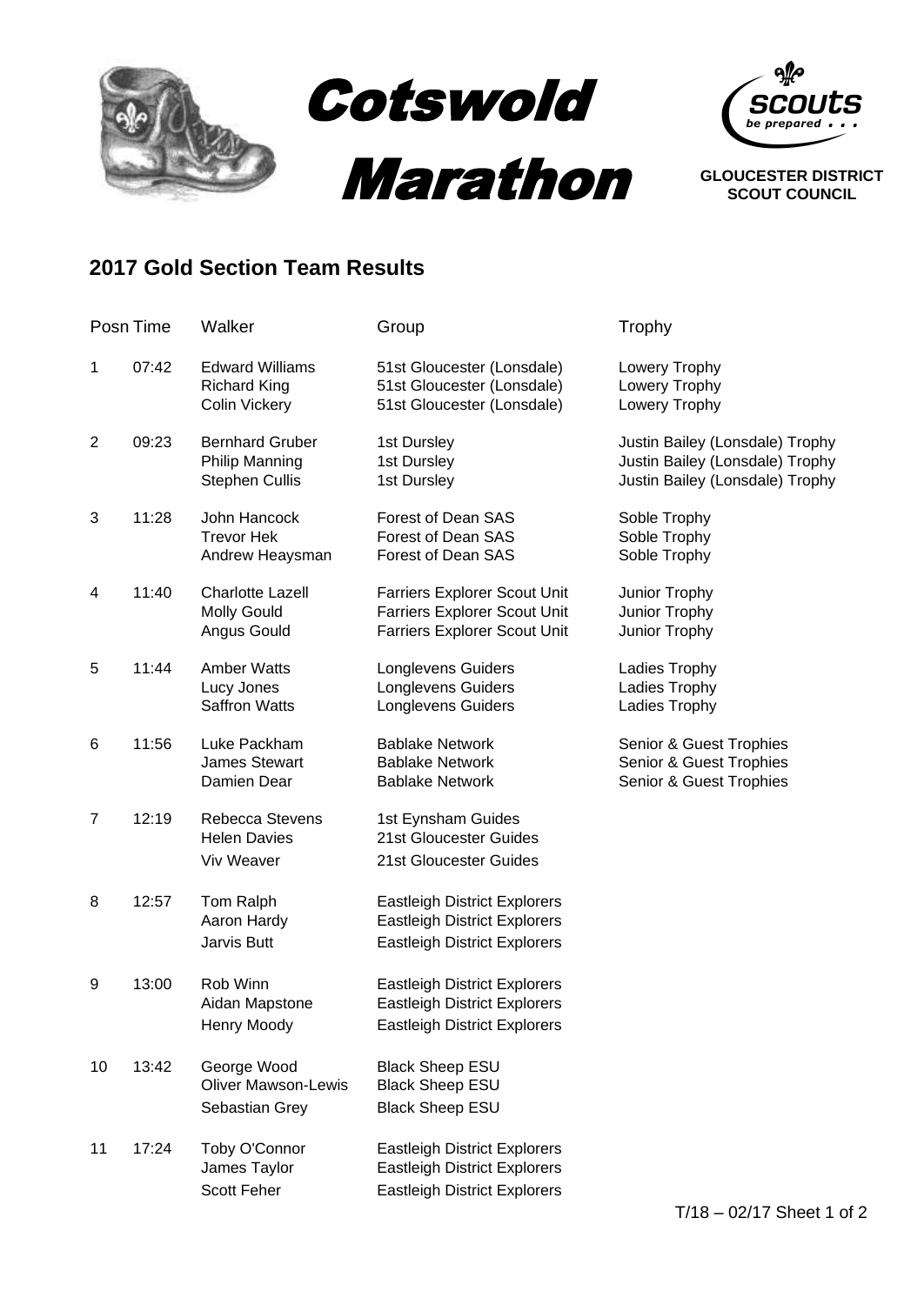

## **2017 Gold Section Team Results**

|                | Posn Time | Walker                                                                   | Group                                                                                                             | Trophy                                                                                                |
|----------------|-----------|--------------------------------------------------------------------------|-------------------------------------------------------------------------------------------------------------------|-------------------------------------------------------------------------------------------------------|
| 1              | 07:42     | <b>Edward Williams</b><br><b>Richard King</b><br><b>Colin Vickery</b>    | 51st Gloucester (Lonsdale)<br>51st Gloucester (Lonsdale)<br>51st Gloucester (Lonsdale)                            | Lowery Trophy<br>Lowery Trophy<br>Lowery Trophy                                                       |
| $\overline{2}$ | 09:23     | <b>Bernhard Gruber</b><br><b>Philip Manning</b><br><b>Stephen Cullis</b> | 1st Dursley<br>1st Dursley<br>1st Dursley                                                                         | Justin Bailey (Lonsdale) Trophy<br>Justin Bailey (Lonsdale) Trophy<br>Justin Bailey (Lonsdale) Trophy |
| 3              | 11:28     | John Hancock<br><b>Trevor Hek</b><br>Andrew Heaysman                     | Forest of Dean SAS<br>Forest of Dean SAS<br>Forest of Dean SAS                                                    | Soble Trophy<br>Soble Trophy<br>Soble Trophy                                                          |
| 4              | 11:40     | <b>Charlotte Lazell</b><br><b>Molly Gould</b><br>Angus Gould             | Farriers Explorer Scout Unit<br><b>Farriers Explorer Scout Unit</b><br><b>Farriers Explorer Scout Unit</b>        | Junior Trophy<br>Junior Trophy<br>Junior Trophy                                                       |
| 5              | 11:44     | <b>Amber Watts</b><br>Lucy Jones<br><b>Saffron Watts</b>                 | Longlevens Guiders<br><b>Longlevens Guiders</b><br><b>Longlevens Guiders</b>                                      | Ladies Trophy<br>Ladies Trophy<br>Ladies Trophy                                                       |
| 6              | 11:56     | Luke Packham<br><b>James Stewart</b><br>Damien Dear                      | <b>Bablake Network</b><br><b>Bablake Network</b><br><b>Bablake Network</b>                                        | Senior & Guest Trophies<br>Senior & Guest Trophies<br>Senior & Guest Trophies                         |
| $\overline{7}$ | 12:19     | Rebecca Stevens<br><b>Helen Davies</b><br>Viv Weaver                     | 1st Eynsham Guides<br>21st Gloucester Guides<br>21st Gloucester Guides                                            |                                                                                                       |
| 8              | 12:57     | Tom Ralph<br>Aaron Hardy<br>Jarvis Butt                                  | <b>Eastleigh District Explorers</b><br><b>Eastleigh District Explorers</b><br><b>Eastleigh District Explorers</b> |                                                                                                       |
| 9              | 13:00     | Rob Winn<br>Aidan Mapstone<br>Henry Moody                                | <b>Eastleigh District Explorers</b><br><b>Eastleigh District Explorers</b><br><b>Eastleigh District Explorers</b> |                                                                                                       |
| 10             | 13:42     | George Wood<br><b>Oliver Mawson-Lewis</b><br>Sebastian Grey              | <b>Black Sheep ESU</b><br><b>Black Sheep ESU</b><br><b>Black Sheep ESU</b>                                        |                                                                                                       |
| 11             | 17:24     | Toby O'Connor<br>James Taylor<br>Scott Feher                             | <b>Eastleigh District Explorers</b><br><b>Eastleigh District Explorers</b><br><b>Eastleigh District Explorers</b> |                                                                                                       |